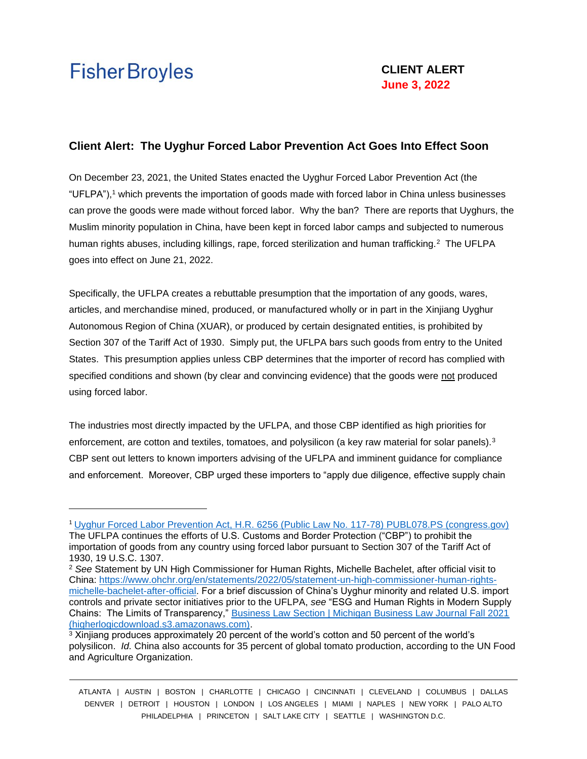## **Client Alert: The Uyghur Forced Labor Prevention Act Goes Into Effect Soon**

On December 23, 2021, the United States enacted the Uyghur Forced Labor Prevention Act (the "UFLPA"),<sup>1</sup> which prevents the importation of goods made with forced labor in China unless businesses can prove the goods were made without forced labor. Why the ban? There are reports that Uyghurs, the Muslim minority population in China, have been kept in forced labor camps and subjected to numerous human rights abuses, including killings, rape, forced sterilization and human trafficking.<sup>2</sup> The UFLPA goes into effect on June 21, 2022.

Specifically, the UFLPA creates a rebuttable presumption that the importation of any goods, wares, articles, and merchandise mined, produced, or manufactured wholly or in part in the Xinjiang Uyghur Autonomous Region of China (XUAR), or produced by certain designated entities, is prohibited by Section 307 of the Tariff Act of 1930. Simply put, the UFLPA bars such goods from entry to the United States. This presumption applies unless CBP determines that the importer of record has complied with specified conditions and shown (by clear and convincing evidence) that the goods were not produced using forced labor.

The industries most directly impacted by the UFLPA, and those CBP identified as high priorities for enforcement, are cotton and textiles, tomatoes, and polysilicon (a key raw material for solar panels). $3$ CBP sent out letters to known importers advising of the UFLPA and imminent guidance for compliance and enforcement. Moreover, CBP urged these importers to "apply due diligence, effective supply chain

ATLANTA | AUSTIN | BOSTON | CHARLOTTE | CHICAGO | CINCINNATI | CLEVELAND | COLUMBUS | DALLAS DENVER | DETROIT | HOUSTON | LONDON | LOS ANGELES | MIAMI | NAPLES | NEW YORK | PALO ALTO PHILADELPHIA | PRINCETON | SALT LAKE CITY | SEATTLE | WASHINGTON D.C.

<sup>1</sup> Uyghur Forced Labor Prevention Act, H.R. 6256 (Public Law No. 117-78) [PUBL078.PS \(congress.gov\)](https://www.congress.gov/117/plaws/publ78/PLAW-117publ78.pdf)  The UFLPA continues the efforts of U.S. Customs and Border Protection ("CBP") to prohibit the importation of goods from any country using forced labor pursuant to Section 307 of the Tariff Act of 1930, 19 U.S.C. 1307.

<sup>2</sup> *See* Statement by UN High Commissioner for Human Rights, Michelle Bachelet, after official visit to China: [https://www.ohchr.org/en/statements/2022/05/statement-un-high-commissioner-human-rights](https://www.ohchr.org/en/statements/2022/05/statement-un-high-commissioner-human-rights-michelle-bachelet-after-official)[michelle-bachelet-after-official.](https://www.ohchr.org/en/statements/2022/05/statement-un-high-commissioner-human-rights-michelle-bachelet-after-official) For a brief discussion of China's Uyghur minority and related U.S. import controls and private sector initiatives prior to the UFLPA, *see* "ESG and Human Rights in Modern Supply Chains: The Limits of Transparency," Business Law Section | Michigan Business Law Journal Fall 2021 [\(higherlogicdownload.s3.amazonaws.com\).](https://higherlogicdownload.s3.amazonaws.com/MICHBAR/ebd9d274-5344-4c99-8e26-d13f998c7236/UploadedImages/pdfs/journal/MBLJ_Fall21.pdf#page=30)

<sup>&</sup>lt;sup>3</sup> Xinjiang produces approximately 20 percent of the world's cotton and 50 percent of the world's polysilicon. *Id.* China also accounts for 35 percent of global tomato production, according to the UN Food and Agriculture Organization.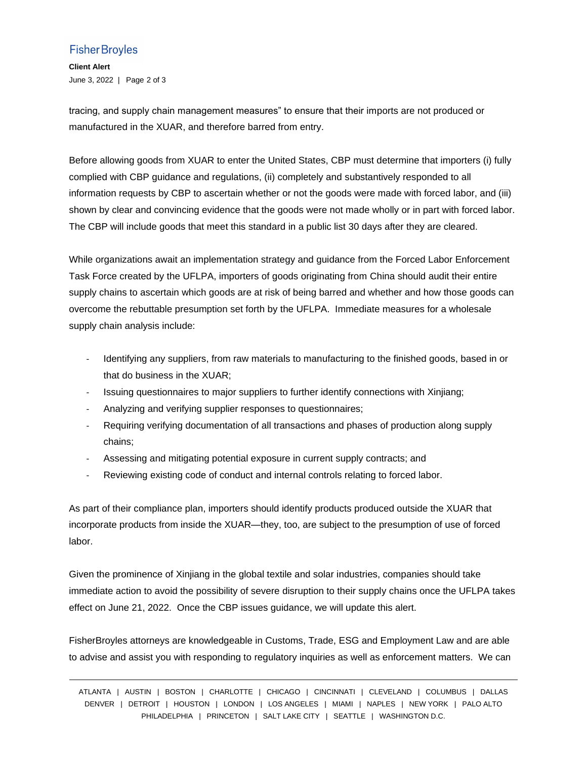## **Fisher Broyles**

**Client Alert** June 3, 2022 | Page 2 of 3

tracing, and supply chain management measures" to ensure that their imports are not produced or manufactured in the XUAR, and therefore barred from entry.

Before allowing goods from XUAR to enter the United States, CBP must determine that importers (i) fully complied with CBP guidance and regulations, (ii) completely and substantively responded to all information requests by CBP to ascertain whether or not the goods were made with forced labor, and (iii) shown by clear and convincing evidence that the goods were not made wholly or in part with forced labor. The CBP will include goods that meet this standard in a public list 30 days after they are cleared.

While organizations await an implementation strategy and guidance from the Forced Labor Enforcement Task Force created by the UFLPA, importers of goods originating from China should audit their entire supply chains to ascertain which goods are at risk of being barred and whether and how those goods can overcome the rebuttable presumption set forth by the UFLPA. Immediate measures for a wholesale supply chain analysis include:

- Identifying any suppliers, from raw materials to manufacturing to the finished goods, based in or that do business in the XUAR;
- Issuing questionnaires to major suppliers to further identify connections with Xinjiang;
- Analyzing and verifying supplier responses to questionnaires;
- Requiring verifying documentation of all transactions and phases of production along supply chains;
- Assessing and mitigating potential exposure in current supply contracts; and
- Reviewing existing code of conduct and internal controls relating to forced labor.

As part of their compliance plan, importers should identify products produced outside the XUAR that incorporate products from inside the XUAR—they, too, are subject to the presumption of use of forced labor.

Given the prominence of Xinjiang in the global textile and solar industries, companies should take immediate action to avoid the possibility of severe disruption to their supply chains once the UFLPA takes effect on June 21, 2022. Once the CBP issues guidance, we will update this alert.

FisherBroyles attorneys are knowledgeable in Customs, Trade, ESG and Employment Law and are able to advise and assist you with responding to regulatory inquiries as well as enforcement matters. We can